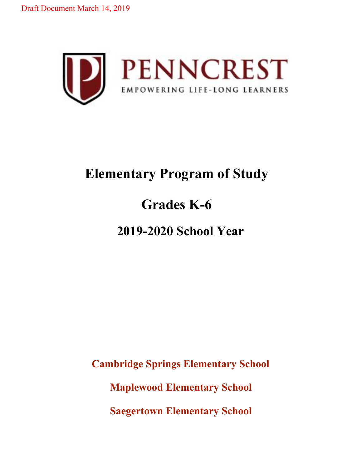Draft Document March 14, 2019



## **Elementary Program of Study**

# **Grades K-6**

## **2019-2020 School Year**

**Cambridge Springs Elementary School**

**Maplewood Elementary School**

**Saegertown Elementary School**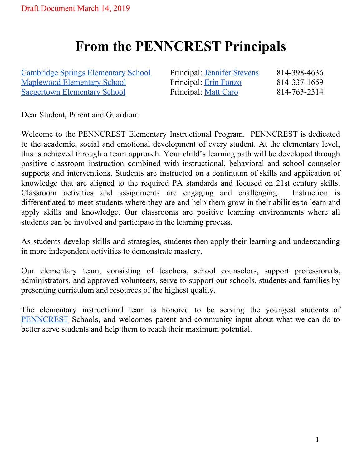## **From the PENNCREST Principals**

Cambridge Springs [Elementary](http://www.cambridgespringselm.net/) School Principal: [Jennifer](mailto:jstevens@penncrest.org) Stevens 814-398-4636 [Maplewood](http://www.maplewoodelm.net/) Elementary School Principal: Erin [Fonzo](mailto:efonzo@penncrest.org) 814-337-1659 [Saegertown](https://www.saegertownelm.net/) Elementary School Principal: Matt [Caro](mailto:MCaro@penncrest.org) 814-763-2314

Dear Student, Parent and Guardian:

Welcome to the PENNCREST Elementary Instructional Program. PENNCREST is dedicated to the academic, social and emotional development of every student. At the elementary level, this is achieved through a team approach. Your child's learning path will be developed through positive classroom instruction combined with instructional, behavioral and school counselor supports and interventions. Students are instructed on a continuum of skills and application of knowledge that are aligned to the required PA standards and focused on 21st century skills. Classroom activities and assignments are engaging and challenging. Instruction is differentiated to meet students where they are and help them grow in their abilities to learn and apply skills and knowledge. Our classrooms are positive learning environments where all students can be involved and participate in the learning process.

As students develop skills and strategies, students then apply their learning and understanding in more independent activities to demonstrate mastery.

Our elementary team, consisting of teachers, school counselors, support professionals, administrators, and approved volunteers, serve to support our schools, students and families by presenting curriculum and resources of the highest quality.

The elementary instructional team is honored to be serving the youngest students of [PENNCREST](https://www.penncrest.org/) Schools, and welcomes parent and community input about what we can do to better serve students and help them to reach their maximum potential.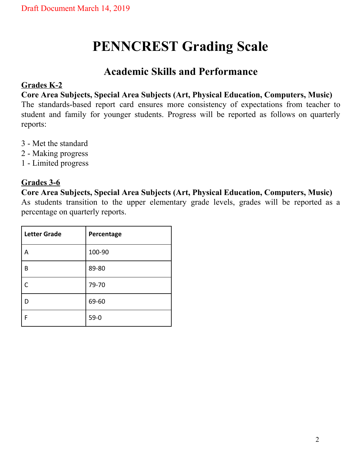## **PENNCREST Grading Scale**

### **Academic Skills and Performance**

#### **Grades K-2**

**Core Area Subjects, Special Area Subjects (Art, Physical Education, Computers, Music)** The standards-based report card ensures more consistency of expectations from teacher to student and family for younger students. Progress will be reported as follows on quarterly reports:

- 3 Met the standard
- 2 Making progress
- 1 Limited progress

#### **Grades 3-6**

#### **Core Area Subjects, Special Area Subjects (Art, Physical Education, Computers, Music)**

As students transition to the upper elementary grade levels, grades will be reported as a percentage on quarterly reports.

| <b>Letter Grade</b> | Percentage |
|---------------------|------------|
| А                   | 100-90     |
| B                   | 89-80      |
| C                   | 79-70      |
| D                   | 69-60      |
| F                   | $59-0$     |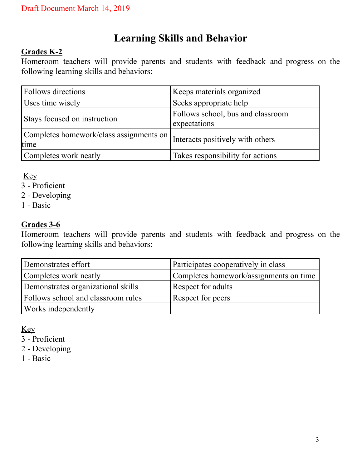## **Learning Skills and Behavior**

#### **Grades K-2**

Homeroom teachers will provide parents and students with feedback and progress on the following learning skills and behaviors:

| <b>Follows directions</b>                       | Keeps materials organized                         |
|-------------------------------------------------|---------------------------------------------------|
| Uses time wisely                                | Seeks appropriate help                            |
| Stays focused on instruction                    | Follows school, bus and classroom<br>expectations |
| Completes homework/class assignments on<br>time | Interacts positively with others                  |
| Completes work neatly                           | Takes responsibility for actions                  |

Key

- 3 Proficient
- 2 Developing
- 1 Basic

#### **Grades 3-6**

Homeroom teachers will provide parents and students with feedback and progress on the following learning skills and behaviors:

| Demonstrates effort                | Participates cooperatively in class    |
|------------------------------------|----------------------------------------|
| Completes work neatly              | Completes homework/assignments on time |
| Demonstrates organizational skills | Respect for adults                     |
| Follows school and classroom rules | Respect for peers                      |
| Works independently                |                                        |

Key

3 - Proficient

2 - Developing

1 - Basic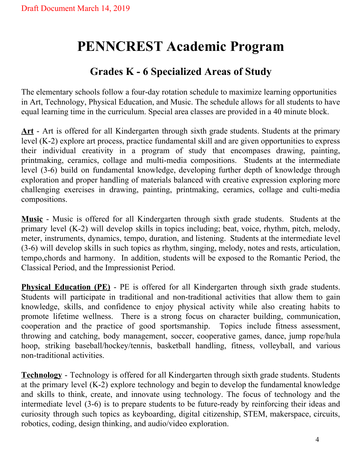## **PENNCREST Academic Program**

## **Grades K - 6 Specialized Areas of Study**

The elementary schools follow a four-day rotation schedule to maximize learning opportunities in Art, Technology, Physical Education, and Music. The schedule allows for all students to have equal learning time in the curriculum. Special area classes are provided in a 40 minute block.

Art - Art is offered for all Kindergarten through sixth grade students. Students at the primary level (K-2) explore art process, practice fundamental skill and are given opportunities to express their individual creativity in a program of study that encompases drawing, painting, printmaking, ceramics, collage and multi-media compositions. Students at the intermediate level (3-6) build on fundamental knowledge, developing further depth of knowledge through exploration and proper handling of materials balanced with creative expression exploring more challenging exercises in drawing, painting, printmaking, ceramics, collage and culti-media compositions.

**Music** - Music is offered for all Kindergarten through sixth grade students. Students at the primary level (K-2) will develop skills in topics including; beat, voice, rhythm, pitch, melody, meter, instruments, dynamics, tempo, duration, and listening. Students at the intermediate level (3-6) will develop skills in such topics as rhythm, singing, melody, notes and rests, articulation, tempo,chords and harmony. In addition, students will be exposed to the Romantic Period, the Classical Period, and the Impressionist Period.

**Physical Education (PE)** - PE is offered for all Kindergarten through sixth grade students. Students will participate in traditional and non-traditional activities that allow them to gain knowledge, skills, and confidence to enjoy physical activity while also creating habits to promote lifetime wellness. There is a strong focus on character building, communication, cooperation and the practice of good sportsmanship. Topics include fitness assessment, throwing and catching, body management, soccer, cooperative games, dance, jump rope/hula hoop, striking baseball/hockey/tennis, basketball handling, fitness, volleyball, and various non-traditional activities.

**Technology** - Technology is offered for all Kindergarten through sixth grade students. Students at the primary level (K-2) explore technology and begin to develop the fundamental knowledge and skills to think, create, and innovate using technology. The focus of technology and the intermediate level (3-6) is to prepare students to be future-ready by reinforcing their ideas and curiosity through such topics as keyboarding, digital citizenship, STEM, makerspace, circuits, robotics, coding, design thinking, and audio/video exploration.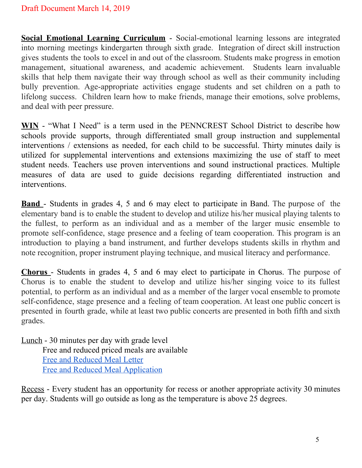**Social Emotional Learning Curriculum** - Social-emotional learning lessons are integrated into morning meetings kindergarten through sixth grade. Integration of direct skill instruction gives students the tools to excel in and out of the classroom. Students make progress in emotion management, situational awareness, and academic achievement. Students learn invaluable skills that help them navigate their way through school as well as their community including bully prevention. Age-appropriate activities engage students and set children on a path to lifelong success. Children learn how to make friends, manage their emotions, solve problems, and deal with peer pressure.

**WIN** - "What I Need" is a term used in the PENNCREST School District to describe how schools provide supports, through differentiated small group instruction and supplemental interventions / extensions as needed, for each child to be successful. Thirty minutes daily is utilized for supplemental interventions and extensions maximizing the use of staff to meet student needs. Teachers use proven interventions and sound instructional practices. Multiple measures of data are used to guide decisions regarding differentiated instruction and interventions.

**Band** - Students in grades 4, 5 and 6 may elect to participate in Band. The purpose of the elementary band is to enable the student to develop and utilize his/her musical playing talents to the fullest, to perform as an individual and as a member of the larger music ensemble to promote self-confidence, stage presence and a feeling of team cooperation. This program is an introduction to playing a band instrument, and further develops students skills in rhythm and note recognition, proper instrument playing technique, and musical literacy and performance.

**Chorus** - Students in grades 4, 5 and 6 may elect to participate in Chorus. The purpose of Chorus is to enable the student to develop and utilize his/her singing voice to its fullest potential, to perform as an individual and as a member of the larger vocal ensemble to promote self-confidence, stage presence and a feeling of team cooperation. At least one public concert is presented in fourth grade, while at least two public concerts are presented in both fifth and sixth grades.

Lunch - 30 minutes per day with grade level Free and reduced priced meals are available Free and [Reduced](https://drive.google.com/file/d/117cJW6flz1Ou8ycYyNTx76gt8juRwU9D/view) Meal Letter Free and Reduced Meal [Application](https://drive.google.com/file/d/13TrTt3L9Bpfftyv_FUWGVahwqBTBN4Tr/view)

Recess - Every student has an opportunity for recess or another appropriate activity 30 minutes per day. Students will go outside as long as the temperature is above 25 degrees.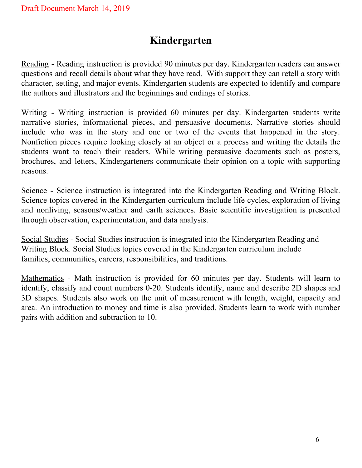## **Kindergarten**

Reading - Reading instruction is provided 90 minutes per day. Kindergarten readers can answer questions and recall details about what they have read. With support they can retell a story with character, setting, and major events. Kindergarten students are expected to identify and compare the authors and illustrators and the beginnings and endings of stories.

Writing - Writing instruction is provided 60 minutes per day. Kindergarten students write narrative stories, informational pieces, and persuasive documents. Narrative stories should include who was in the story and one or two of the events that happened in the story. Nonfiction pieces require looking closely at an object or a process and writing the details the students want to teach their readers. While writing persuasive documents such as posters, brochures, and letters, Kindergarteners communicate their opinion on a topic with supporting reasons.

Science - Science instruction is integrated into the Kindergarten Reading and Writing Block. Science topics covered in the Kindergarten curriculum include life cycles, exploration of living and nonliving, seasons/weather and earth sciences. Basic scientific investigation is presented through observation, experimentation, and data analysis.

Social Studies - Social Studies instruction is integrated into the Kindergarten Reading and Writing Block. Social Studies topics covered in the Kindergarten curriculum include families, communities, careers, responsibilities, and traditions.

Mathematics - Math instruction is provided for 60 minutes per day. Students will learn to identify, classify and count numbers 0-20. Students identify, name and describe 2D shapes and 3D shapes. Students also work on the unit of measurement with length, weight, capacity and area. An introduction to money and time is also provided. Students learn to work with number pairs with addition and subtraction to 10.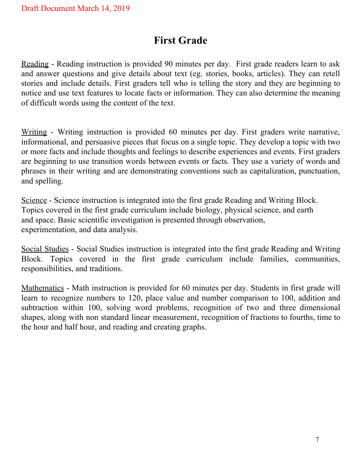## **First Grade**

Reading - Reading instruction is provided 90 minutes per day. First grade readers learn to ask and answer questions and give details about text (eg. stories, books, articles). They can retell stories and include details. First graders tell who is telling the story and they are beginning to notice and use text features to locate facts or information. They can also determine the meaning of difficult words using the content of the text.

Writing - Writing instruction is provided 60 minutes per day. First graders write narrative, informational, and persuasive pieces that focus on a single topic. They develop a topic with two or more facts and include thoughts and feelings to describe experiences and events. First graders are beginning to use transition words between events or facts. They use a variety of words and phrases in their writing and are demonstrating conventions such as capitalization, punctuation, and spelling.

Science - Science instruction is integrated into the first grade Reading and Writing Block. Topics covered in the first grade curriculum include biology, physical science, and earth and space. Basic scientific investigation is presented through observation, experimentation, and data analysis.

Social Studies - Social Studies instruction is integrated into the first grade Reading and Writing Block. Topics covered in the first grade curriculum include families, communities, responsibilities, and traditions.

Mathematics - Math instruction is provided for 60 minutes per day. Students in first grade will learn to recognize numbers to 120, place value and number comparison to 100, addition and subtraction within 100, solving word problems, recognition of two and three dimensional shapes, along with non standard linear measurement, recognition of fractions to fourths, time to the hour and half hour, and reading and creating graphs.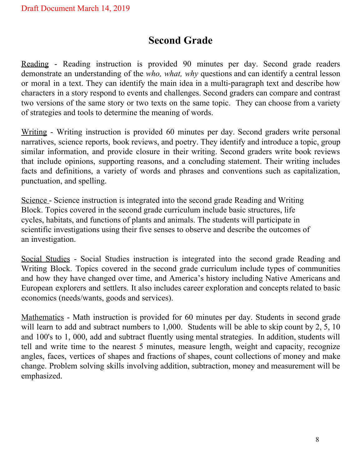## **Second Grade**

Reading - Reading instruction is provided 90 minutes per day. Second grade readers demonstrate an understanding of the *who, what, why* questions and can identify a central lesson or moral in a text. They can identify the main idea in a multi-paragraph text and describe how characters in a story respond to events and challenges. Second graders can compare and contrast two versions of the same story or two texts on the same topic. They can choose from a variety of strategies and tools to determine the meaning of words.

Writing - Writing instruction is provided 60 minutes per day. Second graders write personal narratives, science reports, book reviews, and poetry. They identify and introduce a topic, group similar information, and provide closure in their writing. Second graders write book reviews that include opinions, supporting reasons, and a concluding statement. Their writing includes facts and definitions, a variety of words and phrases and conventions such as capitalization, punctuation, and spelling.

Science - Science instruction is integrated into the second grade Reading and Writing Block. Topics covered in the second grade curriculum include basic structures, life cycles, habitats, and functions of plants and animals. The students will participate in scientific investigations using their five senses to observe and describe the outcomes of an investigation.

Social Studies - Social Studies instruction is integrated into the second grade Reading and Writing Block. Topics covered in the second grade curriculum include types of communities and how they have changed over time, and America's history including Native Americans and European explorers and settlers. It also includes career exploration and concepts related to basic economics (needs/wants, goods and services).

Mathematics - Math instruction is provided for 60 minutes per day. Students in second grade will learn to add and subtract numbers to 1,000. Students will be able to skip count by 2, 5, 10 and 100's to 1, 000, add and subtract fluently using mental strategies. In addition, students will tell and write time to the nearest 5 minutes, measure length, weight and capacity, recognize angles, faces, vertices of shapes and fractions of shapes, count collections of money and make change. Problem solving skills involving addition, subtraction, money and measurement will be emphasized.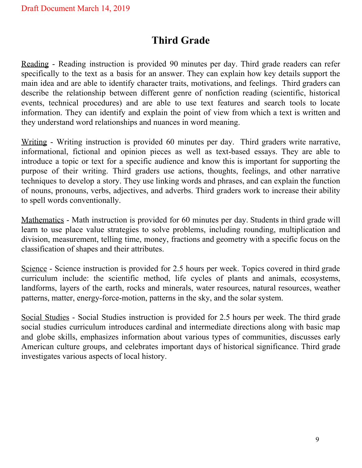## **Third Grade**

Reading - Reading instruction is provided 90 minutes per day. Third grade readers can refer specifically to the text as a basis for an answer. They can explain how key details support the main idea and are able to identify character traits, motivations, and feelings. Third graders can describe the relationship between different genre of nonfiction reading (scientific, historical events, technical procedures) and are able to use text features and search tools to locate information. They can identify and explain the point of view from which a text is written and they understand word relationships and nuances in word meaning.

Writing - Writing instruction is provided 60 minutes per day. Third graders write narrative, informational, fictional and opinion pieces as well as text-based essays. They are able to introduce a topic or text for a specific audience and know this is important for supporting the purpose of their writing. Third graders use actions, thoughts, feelings, and other narrative techniques to develop a story. They use linking words and phrases, and can explain the function of nouns, pronouns, verbs, adjectives, and adverbs. Third graders work to increase their ability to spell words conventionally.

Mathematics - Math instruction is provided for 60 minutes per day. Students in third grade will learn to use place value strategies to solve problems, including rounding, multiplication and division, measurement, telling time, money, fractions and geometry with a specific focus on the classification of shapes and their attributes.

Science - Science instruction is provided for 2.5 hours per week. Topics covered in third grade curriculum include: the scientific method, life cycles of plants and animals, ecosystems, landforms, layers of the earth, rocks and minerals, water resources, natural resources, weather patterns, matter, energy-force-motion, patterns in the sky, and the solar system.

Social Studies - Social Studies instruction is provided for 2.5 hours per week. The third grade social studies curriculum introduces cardinal and intermediate directions along with basic map and globe skills, emphasizes information about various types of communities, discusses early American culture groups, and celebrates important days of historical significance. Third grade investigates various aspects of local history.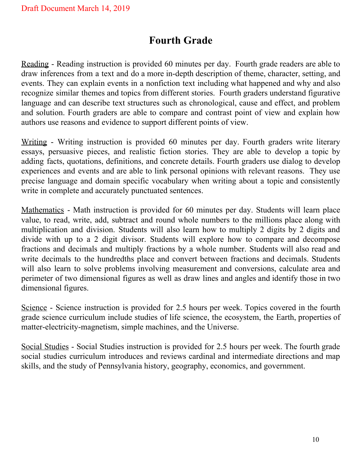## **Fourth Grade**

Reading - Reading instruction is provided 60 minutes per day. Fourth grade readers are able to draw inferences from a text and do a more in-depth description of theme, character, setting, and events. They can explain events in a nonfiction text including what happened and why and also recognize similar themes and topics from different stories. Fourth graders understand figurative language and can describe text structures such as chronological, cause and effect, and problem and solution. Fourth graders are able to compare and contrast point of view and explain how authors use reasons and evidence to support different points of view.

Writing - Writing instruction is provided 60 minutes per day. Fourth graders write literary essays, persuasive pieces, and realistic fiction stories. They are able to develop a topic by adding facts, quotations, definitions, and concrete details. Fourth graders use dialog to develop experiences and events and are able to link personal opinions with relevant reasons. They use precise language and domain specific vocabulary when writing about a topic and consistently write in complete and accurately punctuated sentences.

Mathematics - Math instruction is provided for 60 minutes per day. Students will learn place value, to read, write, add, subtract and round whole numbers to the millions place along with multiplication and division. Students will also learn how to multiply 2 digits by 2 digits and divide with up to a 2 digit divisor. Students will explore how to compare and decompose fractions and decimals and multiply fractions by a whole number. Students will also read and write decimals to the hundredths place and convert between fractions and decimals. Students will also learn to solve problems involving measurement and conversions, calculate area and perimeter of two dimensional figures as well as draw lines and angles and identify those in two dimensional figures.

Science - Science instruction is provided for 2.5 hours per week. Topics covered in the fourth grade science curriculum include studies of life science, the ecosystem, the Earth, properties of matter-electricity-magnetism, simple machines, and the Universe.

Social Studies - Social Studies instruction is provided for 2.5 hours per week. The fourth grade social studies curriculum introduces and reviews cardinal and intermediate directions and map skills, and the study of Pennsylvania history, geography, economics, and government.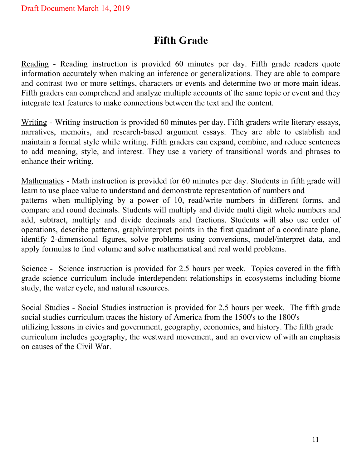## **Fifth Grade**

Reading - Reading instruction is provided 60 minutes per day. Fifth grade readers quote information accurately when making an inference or generalizations. They are able to compare and contrast two or more settings, characters or events and determine two or more main ideas. Fifth graders can comprehend and analyze multiple accounts of the same topic or event and they integrate text features to make connections between the text and the content.

Writing - Writing instruction is provided 60 minutes per day. Fifth graders write literary essays, narratives, memoirs, and research-based argument essays. They are able to establish and maintain a formal style while writing. Fifth graders can expand, combine, and reduce sentences to add meaning, style, and interest. They use a variety of transitional words and phrases to enhance their writing.

Mathematics - Math instruction is provided for 60 minutes per day. Students in fifth grade will learn to use place value to understand and demonstrate representation of numbers and patterns when multiplying by a power of 10, read/write numbers in different forms, and compare and round decimals. Students will multiply and divide multi digit whole numbers and add, subtract, multiply and divide decimals and fractions. Students will also use order of operations, describe patterns, graph/interpret points in the first quadrant of a coordinate plane, identify 2-dimensional figures, solve problems using conversions, model/interpret data, and apply formulas to find volume and solve mathematical and real world problems.

Science - Science instruction is provided for 2.5 hours per week. Topics covered in the fifth grade science curriculum include interdependent relationships in ecosystems including biome study, the water cycle, and natural resources.

Social Studies - Social Studies instruction is provided for 2.5 hours per week. The fifth grade social studies curriculum traces the history of America from the 1500's to the 1800's utilizing lessons in civics and government, geography, economics, and history. The fifth grade curriculum includes geography, the westward movement, and an overview of with an emphasis on causes of the Civil War.